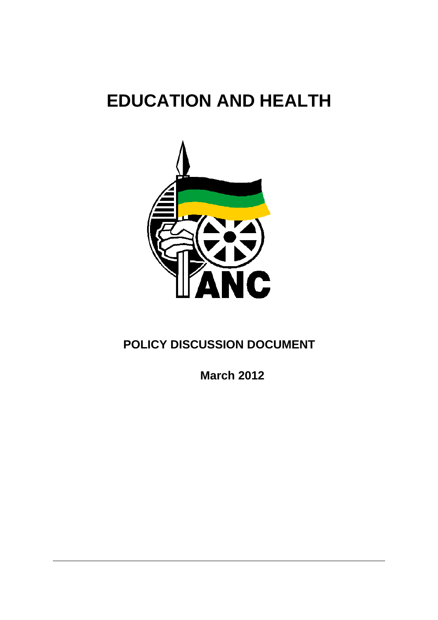# **EDUCATION AND HEALTH**



## **POLICY DISCUSSION DOCUMENT**

**March 2012**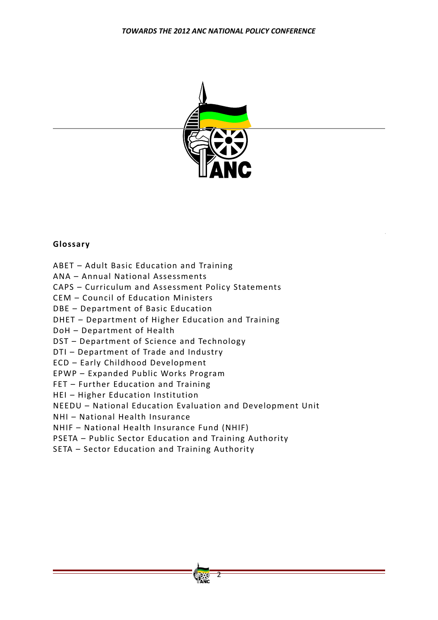

## **Glossary**

ABET – Adult Basic Education and Training

ANA – Annual National Assessments

CAPS – Curriculum and Assessment Policy Statements

CEM – Council of Education Ministers

DBE - Department of Basic Education

DHET - Department of Higher Education and Training

DoH - Department of Health

DST – Department of Science and Technology

DTI - Department of Trade and Industry

ECD – Early Childhood Development

EPWP – Expanded Public Works Program

FET – Further Education and Training

HEI – Higher Education Institution

NEEDU – National Education Evaluation and Development Unit

NHI – National Health Insurance

NHIF – National Health Insurance Fund (NHIF)

PSETA – Public Sector Education and Training Authority

SETA – Sector Education and Training Authority

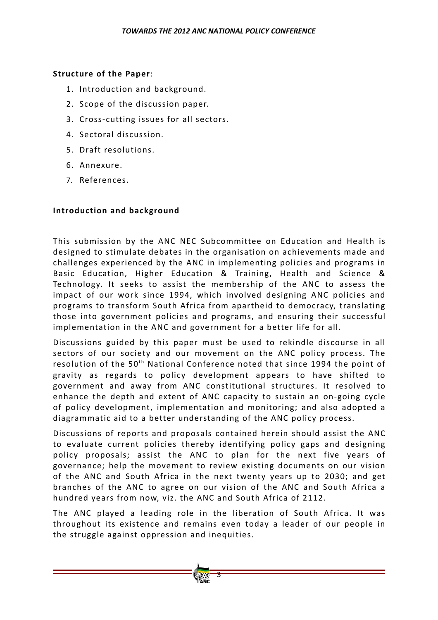#### **Structure of the Paper:**

- 1. Introduction and background.
- 2. Scope of the discussion paper.
- 3. Cross‐cutting issues for all sectors.
- 4. Sectoral discussion.
- 5. Draft resolutions.
- 6. Annexure.
- 7. References.

#### **Introduction and background**

This submission by the ANC NEC Subcommittee on Education and Health is designed to stimulate debates in the organisation on achievements made and challenges experienced by the ANC in implementing policies and programs in Basic Education, Higher Education & Training, Health and Science & Technology. It seeks to assist the membership of the ANC to assess the impact of our work since 1994, which involved designing ANC policies and programs to transform South Africa from apartheid to democracy, translating those into government policies and programs, and ensuring their successful implementation in the ANC and government for a better life for all.

Discussions guided by this paper must be used to rekindle discourse in all sectors of our society and our movement on the ANC policy process. The resolution of the  $50<sup>th</sup>$  National Conference noted that since 1994 the point of gravity as regards to policy development appears to have shifted to government and away from ANC constitutional structures. It resolved to enhance the depth and extent of ANC capacity to sustain an on-going cycle o f policy development, implementation and monitoring; and also adopted a diagrammatic aid to a better understanding of the ANC policy process.

Discussions of reports and proposals contained herein should assist the ANC to evaluate current policies thereby identifying policy gaps and designing policy proposals; assist the ANC to plan for the next five years of governance; help the movement to review existing documents on our vision of the ANC and South Africa in the next twenty years up to 2030; and get branches of the ANC to agree on our vision of the ANC and South Africa a hundred years from now, viz. the ANC and South Africa of 2112.

The ANC played a leading role in the liberation of South Africa. It was throughout its existence and remains even today a leader of our people in the struggle against oppression and inequities.

3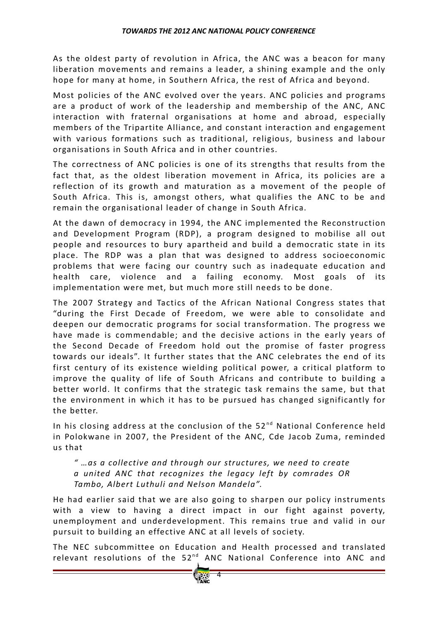As the oldest party of revolution in Africa, the ANC was a beacon for many liberation movements and remains a leader, a shining example and the only hope for many at home, in Southern Africa, the rest of Africa and bevond.

Most policies of the ANC evolved over the years. ANC policies and programs are a product of work of the leadership and membership of the ANC, ANC interaction with fraternal organisations at home and abroad, especially members of the Tripartite Alliance, and constant interaction and engagement with various formations such as traditional, religious, business and labour organisations in South Africa and in other countries.

The correctness of ANC policies is one of its strengths that results from the fact that, as the oldest liberation movement in Africa, its policies are a reflection of its growth and maturation as a movement of the people of South Africa. This is, amongst others, what qualifies the ANC to be and remain the organisational leader of change in South Africa.

At the dawn of democracy in 1994, the ANC implemented the Reconstruction and Development Program (RDP), a program designed to mobilise all out people and resources to bury apartheid and build a democratic state in its place. The RDP was a plan that was designed to address socioeconomic problems that were facing our country such as inadequate education and health care, violence and a failing economy. Most goals of its implementation were met, but much more still needs to be done.

The 2007 Strategy and Tactics of the African National Congress states that "during the First Decade of Freedom, we were able to consolidate and deepen our democratic programs for social transformation. The progress we have made is commendable; and the decisive actions in the early vears of the Second Decade of Freedom hold out the promise of faster progress towards our ideals". It further states that the ANC celebrates the end of its first century of its existence wielding political power, a critical platform to improve the quality of life of South Africans and contribute to building a better world. It confirms that the strategic task remains the same, but that the environment in which it has to be pursued has changed significantly for the better.

In his closing address at the conclusion of the  $52<sup>nd</sup>$  National Conference held in Polokwane in 2007, the President of the ANC, Cde Jacob Zuma, reminded us that

*" …as a collective and through our structures, we need to create a united ANC that recognizes the legacy left by comrades OR Tambo, Albert Luthuli and Nelson Mandela"*.

He had earlier said that we are also going to sharpen our policy instruments with a view to having a direct impact in our fight against poverty, unemployment and underdevelopment. This remains true and valid in our pursuit to building an effective ANC at all levels of society.

The NEC subcommittee on Education and Health processed and translated relevant resolutions of the  $52^{nd}$  ANC National Conference into ANC and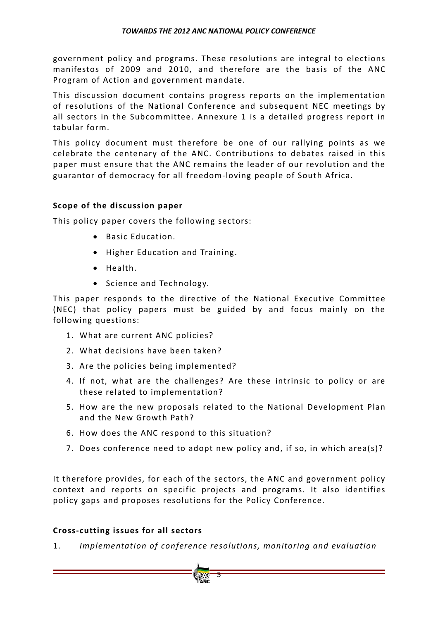government policy and programs. These resolutions are integral to elections manifestos of 2009 and 2010, and therefore are the basis of the ANC Program of Action and government mandate.

This discussion document contains progress reports on the implementation of resolutions of the National Conference and subsequent NEC meetings by all sectors in the Subcommittee. Annexure 1 is a detailed progress report in tabular form.

This policy document must therefore be one of our rallying points as we celebrate the centenary of the ANC. Contributions to debates raised in this paper must ensure that the ANC remains the leader of our revolution and the guarantor of democracy for all freedom-loving people of South Africa.

## **Scope** of the discussion paper

This policy paper covers the following sectors:

- Basic Education.
- Higher Education and Training.
- Health.
- Science and Technology.

This paper responds to the directive of the National Executive Committee (NEC) that policy papers must be guided by and focus mainly on the following questions:

- 1. What are current ANC policies?
- 2. What decisions have been taken?
- 3. Are the policies being implemented?
- 4. If not, what are the challenges? Are these intrinsic to policy or are these related to implementation?
- 5. How are the new proposals related to the National Development Plan and the New Growth Path?
- 6. How does the ANC respond to this situation?
- 7. Does conference need to adopt new policy and, if so, in which area(s)?

It therefore provides, for each of the sectors, the ANC and government policy context and reports on specific projects and programs. It also identifies policy gaps and proposes resolutions for the Policy Conference.

## **Cross‐cutting issues for all sectors**

1. *Implementation of conference resolutions, monitoring and evaluation* 

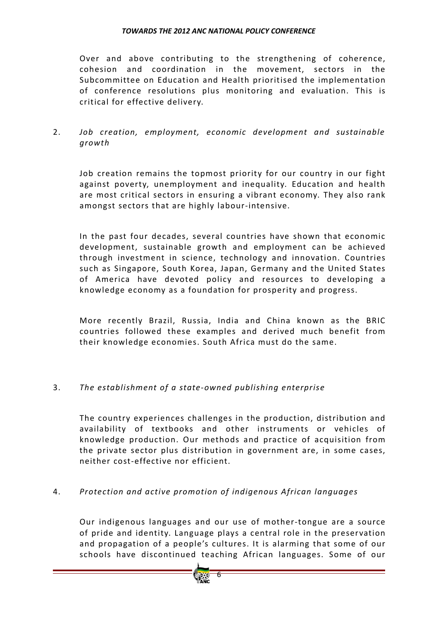Over and above contributing to the strengthening of coherence, cohesion and coordination in the movement, sectors in the Subcommittee on Education and Health prioritised the implementation of conference resolutions plus monitoring and evaluation. This is critical for effective delivery.

2. *Job creation, employment, economic development and sustainable growth*

Job creation remains the topmost priority for our country in our fight against poverty, unemployment and inequality. Education and health are most critical sectors in ensuring a vibrant economy. They also rank amongst sectors that are highly labour‐intensive.

In the past four decades, several countries have shown that economic development, sustainable growth and employment can be achieved through investment in science, technology and innovation. Countries such as Singapore, South Korea, Japan, Germany and the United States of America have devoted policy and resources to developing a knowledge economy as a foundation for prosperity and progress.

More recently Brazil, Russia, India and China known as the BRIC countries followed these examples and derived much benefit from their knowledge economies. South Africa must do the same.

## 3. The establishment of a state-owned publishing enterprise

The country experiences challenges in the production, distribution and availability of textbooks and other instruments or vehicles of knowledge production. Our methods and practice of acquisition from the private sector plus distribution in government are, in some cases, neither cost‐effective nor efficient.

## 4. *Protection and active promotion o f indigenous African languages*

Our indigenous languages and our use of mother-tongue are a source of pride and identity. Language plays a central role in the preservation and propagation of a people's cultures. It is alarming that some of our schools have discontinued teaching African languages. Some of our

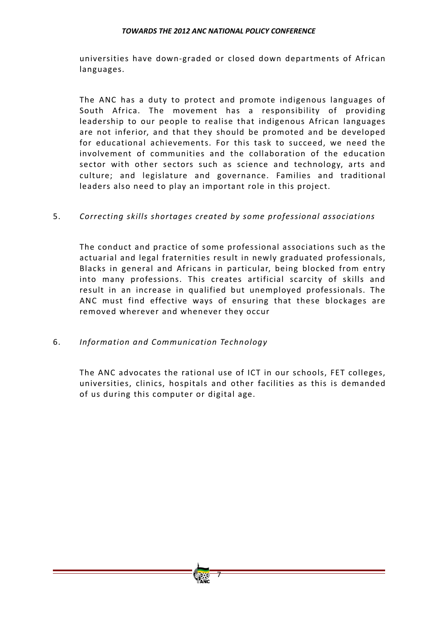universities have down-graded or closed down departments of African languages.

The ANC has a duty to protect and promote indigenous languages of South Africa. The movement has a responsibility of providing leadership to our people to realise that indigenous African languages are not in ferior, and that they should be promoted and be developed for educational achievements. For this task to succeed, we need the involvement of communities and the collaboration of the education sector with other sectors such as science and technology, arts and culture; and legislature and governance. Families and traditional leaders also need to play an important role in this project.

## 5. *Correcting skills shortages created by some professional associations*

The conduct and practice of some professional associations such as the actuarial and legal fraternities result in newly graduated professionals, Blacks in general and Africans in particular, being blocked from entry into many professions. This creates artificial scarcity of skills and result in an increase in qualified but unemployed professionals. The ANC must find effective ways of ensuring that these blockages are removed wherever and whenever they occur

## 6. *Information and Communication Technology*

The ANC advocates the rational use of ICT in our schools, FET colleges, universities, clinics, hospitals and other facilities as this is demanded of us during this computer or digital age.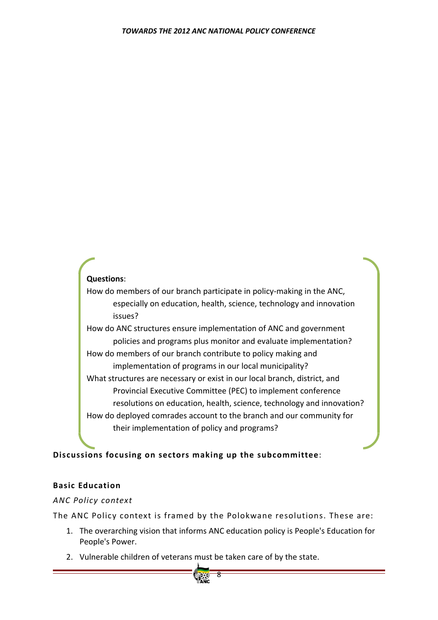## **Questions**:

How do members of our branch participate in policy-making in the ANC, especially on education, health, science, technology and innovation issues?

How do ANC structures ensure implementation of ANC and government policies and programs plus monitor and evaluate implementation? How do members of our branch contribute to policy making and implementation of programs in our local municipality? What structures are necessary or exist in our local branch, district, and Provincial Executive Committee (PEC) to implement conference resolutions on education, health, science, technology and innovation? How do deployed comrades account to the branch and our community for their implementation of policy and programs?

## **Discussions focusing on sectors making up the subcommittee**:

## **Basic Education**

## *ANC Policy context*

The ANC Policy context is framed by the Polokwane resolutions. These are:

- 1. The overarching vision that informs ANC education policy is People's Education for People's Power.
- 2. Vulnerable children of veterans must be taken care of by the state.

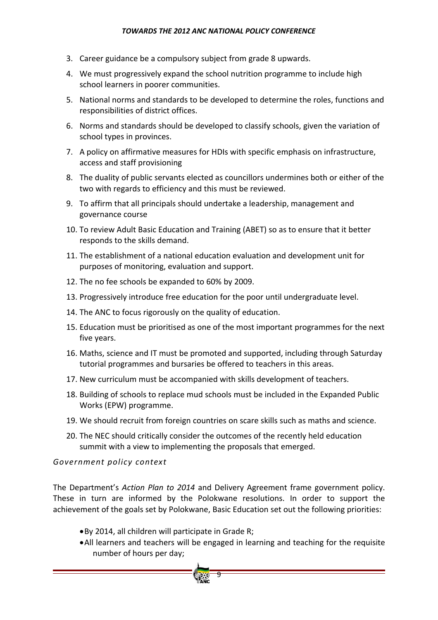- 3. Career guidance be a compulsory subject from grade 8 upwards.
- 4. We must progressively expand the school nutrition programme to include high school learners in poorer communities.
- 5. National norms and standards to be developed to determine the roles, functions and responsibilities of district offices.
- 6. Norms and standards should be developed to classify schools, given the variation of school types in provinces.
- 7. A policy on affirmative measures for HDIs with specific emphasis on infrastructure, access and staff provisioning
- 8. The duality of public servants elected as councillors undermines both or either of the two with regards to efficiency and this must be reviewed.
- 9. To affirm that all principals should undertake a leadership, management and governance course
- 10. To review Adult Basic Education and Training (ABET) so as to ensure that it better responds to the skills demand.
- 11. The establishment of a national education evaluation and development unit for purposes of monitoring, evaluation and support.
- 12. The no fee schools be expanded to 60% by 2009.
- 13. Progressively introduce free education for the poor until undergraduate level.
- 14. The ANC to focus rigorously on the quality of education.
- 15. Education must be prioritised as one of the most important programmes for the next five years.
- 16. Maths, science and IT must be promoted and supported, including through Saturday tutorial programmes and bursaries be offered to teachers in this areas.
- 17. New curriculum must be accompanied with skills development of teachers.
- 18. Building of schools to replace mud schools must be included in the Expanded Public Works (EPW) programme.
- 19. We should recruit from foreign countries on scare skills such as maths and science.
- 20. The NEC should critically consider the outcomes of the recently held education summit with a view to implementing the proposals that emerged.

#### *Government policy context*

The Department's *Action Plan to 2014* and Delivery Agreement frame government policy. These in turn are informed by the Polokwane resolutions. In order to support the achievement of the goals set by Polokwane, Basic Education set out the following priorities:

9

- •By 2014, all children will participate in Grade R;
- •All learners and teachers will be engaged in learning and teaching for the requisite number of hours per day;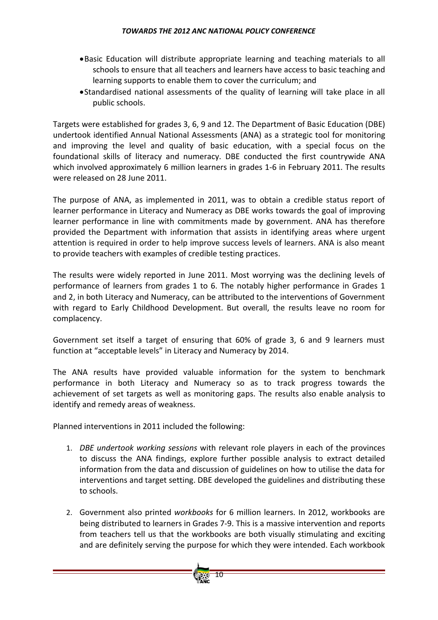- •Basic Education will distribute appropriate learning and teaching materials to all schools to ensure that all teachers and learners have access to basic teaching and learning supports to enable them to cover the curriculum; and
- •Standardised national assessments of the quality of learning will take place in all public schools.

Targets were established for grades 3, 6, 9 and 12. The Department of Basic Education (DBE) undertook identified Annual National Assessments (ANA) as a strategic tool for monitoring and improving the level and quality of basic education, with a special focus on the foundational skills of literacy and numeracy. DBE conducted the first countrywide ANA which involved approximately 6 million learners in grades 1‐6 in February 2011. The results were released on 28 June 2011.

The purpose of ANA, as implemented in 2011, was to obtain a credible status report of learner performance in Literacy and Numeracy as DBE works towards the goal of improving learner performance in line with commitments made by government. ANA has therefore provided the Department with information that assists in identifying areas where urgent attention is required in order to help improve success levels of learners. ANA is also meant to provide teachers with examples of credible testing practices.

The results were widely reported in June 2011. Most worrying was the declining levels of performance of learners from grades 1 to 6. The notably higher performance in Grades 1 and 2, in both Literacy and Numeracy, can be attributed to the interventions of Government with regard to Early Childhood Development. But overall, the results leave no room for complacency.

Government set itself a target of ensuring that 60% of grade 3, 6 and 9 learners must function at "acceptable levels" in Literacy and Numeracy by 2014.

The ANA results have provided valuable information for the system to benchmark performance in both Literacy and Numeracy so as to track progress towards the achievement of set targets as well as monitoring gaps. The results also enable analysis to identify and remedy areas of weakness.

Planned interventions in 2011 included the following:

- 1. *DBE undertook working sessions* with relevant role players in each of the provinces to discuss the ANA findings, explore further possible analysis to extract detailed information from the data and discussion of guidelines on how to utilise the data for interventions and target setting. DBE developed the guidelines and distributing these to schools.
- 2. Government also printed *workbooks* for 6 million learners. In 2012, workbooks are being distributed to learners in Grades 7‐9. This is a massive intervention and reports from teachers tell us that the workbooks are both visually stimulating and exciting and are definitely serving the purpose for which they were intended. Each workbook

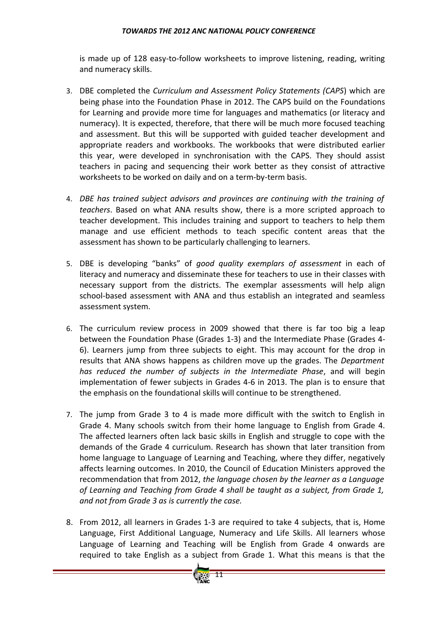is made up of 128 easy-to-follow worksheets to improve listening, reading, writing and numeracy skills.

- 3. DBE completed the *Curriculum and Assessment Policy Statements (CAPS*) which are being phase into the Foundation Phase in 2012. The CAPS build on the Foundations for Learning and provide more time for languages and mathematics (or literacy and numeracy). It is expected, therefore, that there will be much more focused teaching and assessment. But this will be supported with guided teacher development and appropriate readers and workbooks. The workbooks that were distributed earlier this year, were developed in synchronisation with the CAPS. They should assist teachers in pacing and sequencing their work better as they consist of attractive worksheets to be worked on daily and on a term‐by‐term basis.
- 4. *DBE has trained subject advisors and provinces are continuing with the training of teachers*. Based on what ANA results show, there is a more scripted approach to teacher development. This includes training and support to teachers to help them manage and use efficient methods to teach specific content areas that the assessment has shown to be particularly challenging to learners.
- 5. DBE is developing "banks" of *good quality exemplars of assessment* in each of literacy and numeracy and disseminate these for teachers to use in their classes with necessary support from the districts. The exemplar assessments will help align school-based assessment with ANA and thus establish an integrated and seamless assessment system.
- 6. The curriculum review process in 2009 showed that there is far too big a leap between the Foundation Phase (Grades 1‐3) and the Intermediate Phase (Grades 4‐ 6). Learners jump from three subjects to eight. This may account for the drop in results that ANA shows happens as children move up the grades. The *Department has reduced the number of subjects in the Intermediate Phase*, and will begin implementation of fewer subjects in Grades 4‐6 in 2013. The plan is to ensure that the emphasis on the foundational skills will continue to be strengthened.
- 7. The jump from Grade 3 to 4 is made more difficult with the switch to English in Grade 4. Many schools switch from their home language to English from Grade 4. The affected learners often lack basic skills in English and struggle to cope with the demands of the Grade 4 curriculum. Research has shown that later transition from home language to Language of Learning and Teaching, where they differ, negatively affects learning outcomes. In 2010, the Council of Education Ministers approved the recommendation that from 2012, *the language chosen by the learner as a Language of Learning and Teaching from Grade 4 shall be taught as a subject, from Grade 1, and not from Grade 3 as is currently the case.*
- 8. From 2012, all learners in Grades 1‐3 are required to take 4 subjects, that is, Home Language, First Additional Language, Numeracy and Life Skills. All learners whose Language of Learning and Teaching will be English from Grade 4 onwards are required to take English as a subject from Grade 1. What this means is that the

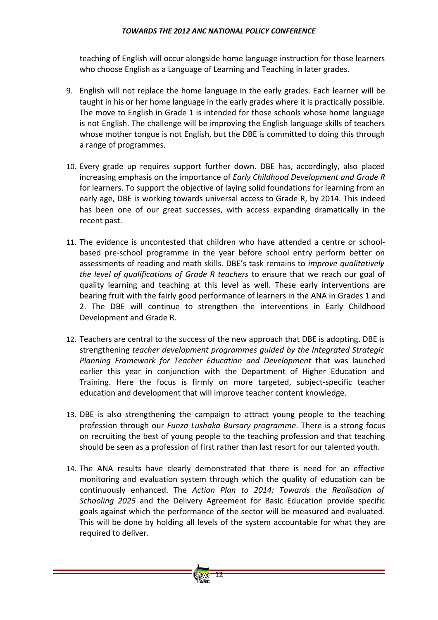teaching of English will occur alongside home language instruction for those learners who choose English as a Language of Learning and Teaching in later grades.

- 9. English will not replace the home language in the early grades. Each learner will be taught in his or her home language in the early grades where it is practically possible. The move to English in Grade 1 is intended for those schools whose home language is not English. The challenge will be improving the English language skills of teachers whose mother tongue is not English, but the DBE is committed to doing this through a range of programmes.
- 10. Every grade up requires support further down. DBE has, accordingly, also placed increasing emphasis on the importance of *Early Childhood Development and Grade R* for learners. To support the objective of laying solid foundations for learning from an early age, DBE is working towards universal access to Grade R, by 2014. This indeed has been one of our great successes, with access expanding dramatically in the recent past.
- 11. The evidence is uncontested that children who have attended a centre or school‐ based pre‐school programme in the year before school entry perform better on assessments of reading and math skills. DBE's task remains to *improve qualitatively the level of qualifications of Grade R teachers* to ensure that we reach our goal of quality learning and teaching at this level as well. These early interventions are bearing fruit with the fairly good performance of learners in the ANA in Grades 1 and 2. The DBE will continue to strengthen the interventions in Early Childhood Development and Grade R.
- 12. Teachers are central to the success of the new approach that DBE is adopting. DBE is strengthening *teacher development programmes guided by the Integrated Strategic Planning Framework for Teacher Education and Development* that was launched earlier this year in conjunction with the Department of Higher Education and Training. Here the focus is firmly on more targeted, subject‐specific teacher education and development that will improve teacher content knowledge.
- 13. DBE is also strengthening the campaign to attract young people to the teaching profession through our *Funza Lushaka Bursary programme*. There is a strong focus on recruiting the best of young people to the teaching profession and that teaching should be seen as a profession of first rather than last resort for our talented youth.
- 14. The ANA results have clearly demonstrated that there is need for an effective monitoring and evaluation system through which the quality of education can be continuously enhanced. The *Action Plan to 2014: Towards the Realisation of Schooling 2025* and the Delivery Agreement for Basic Education provide specific goals against which the performance of the sector will be measured and evaluated. This will be done by holding all levels of the system accountable for what they are required to deliver.

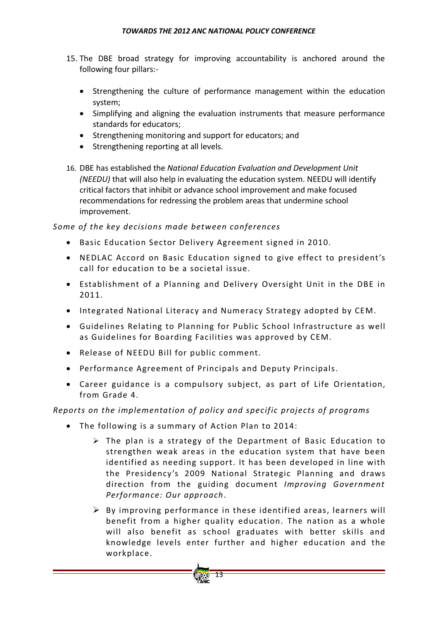- 15. The DBE broad strategy for improving accountability is anchored around the following four pillars:‐
	- Strengthening the culture of performance management within the education system;
	- Simplifying and aligning the evaluation instruments that measure performance standards for educators;
	- Strengthening monitoring and support for educators; and
	- Strengthening reporting at all levels.
- 16. DBE has established the *National Education Evaluation and Development Unit (NEEDU)* that will also help in evaluating the education system. NEEDU will identify critical factors that inhibit or advance school improvement and make focused recommendations for redressing the problem areas that undermine school improvement.

## *Some o f the key decisions made between conferences*

- Basic Education Sector Delivery Agreement signed in 2010.
- NEDLAC Accord on Basic Education signed to give effect to president's call for education to be a societal issue.
- Establishment of a Planning and Delivery Oversight Unit in the DBE in 2011.
- Integrated National Literacy and Numeracy Strategy adopted by CEM.
- Guidelines Relating to Planning for Public School Infrastructure as well as Guidelines for Boarding Facilities was approved by CEM.
- Release of NEEDU Bill for public comment.
- Performance Agreement of Principals and Deputy Principals.
- Career guidance is a compulsory subject, as part of Life Orientation, from Grade 4.

## *Reports on the implementation of policy and specific projects of programs*

- The following is a summary of Action Plan to 2014:
	- $\triangleright$  The plan is a strategy of the Department of Basic Education to strengthen weak areas in the education system that have been identified as needing support. It has been developed in line with the Presidency's 2009 National Strategic Planning and draws direction from the guiding document *Improving Government Performance: Our approach*.
	- $\triangleright$  By improving performance in these identified areas, learners will benefit from a higher quality education. The nation as a whole will also benefit as school graduates with better skills and knowledge levels enter further and higher education and the workplace.

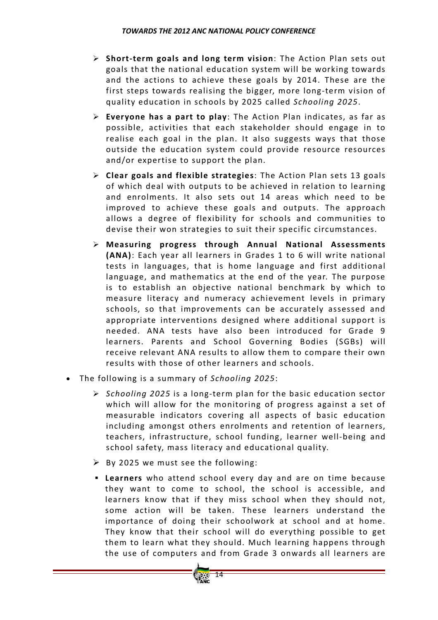- ¾ **Short‐term goals and long term vision**: The Action Plan sets out goals that the national education system will be working towards and the actions to achieve these goals by 2014. These are the first steps towards realising the bigger, more long-term vision of quality education in schools by 2025 called *Schooling 2025*.
- ¾ **Everyone has a part to play**: The Action Plan indicates, as far as possible, activities that each stakeholder should engage in to realise each goal in the plan. It also suggests ways that those outside the education system could provide resource resources and/or expertise to support the plan.
- ¾ **Clear goals and flexible strategies**: The Action Plan sets 13 goals of which deal with outputs to be achieved in relation to learning and enrolments. It also sets out 14 areas which need to be improved to achieve these goals and outputs. The approach allows a degree of flexibility for schools and communities to devise their won strategies to suit their specific circumstances.
- ¾ **Measuring progress through Annual National Assessments (ANA)**: Each year all learners in Grades 1 to 6 will write national tests in languages, that is home language and first additional language, and mathematics at the end of the year. The purpose is to establish an objective national benchmark by which to measure literacy and numeracy achievement levels in primary schools, so that improvements can be accurately assessed and appropriate interventions designed where additional support is needed. ANA tests have also been introduced for Grade 9 learners. Parents and School Governing Bodies (SGBs) will receive relevant ANA results to allow them to compare their own results with those of other learners and schools.
- The following is a summary of *Schooling 2025*:
	- ¾ *Schooling 2025* is a long‐term plan for the basic education sector which will allow for the monitoring of progress against a set of measurable indicators covering all aspects of basic education including amongst others enrolments and retention of learners, teachers, infrastructure, school funding, learner well‐being and school safety, mass literacy and educational quality.
	- $\triangleright$  By 2025 we must see the following:
	- **Learners** who attend school every day and are on time because they want to come to school, the school is accessible, and learners know that if they miss school when they should not, some action will be taken. These learners understand the importance of doing their schoolwork at school and at home. They know that their school will do everything possible to get them to learn what they should. Much learning happens through the use of computers and from Grade 3 onwards all learners are

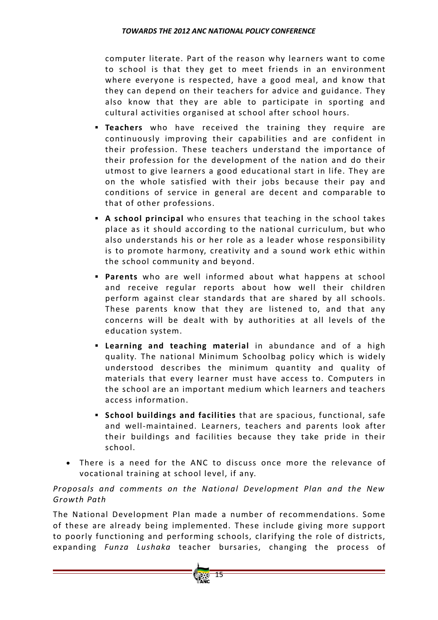computer literate. Part of the reason why learners want to come to school is that they get to meet friends in an environment where everyone is respected, have a good meal, and know that they can depend on their teachers for advice and guidance. They also know that they are able to participate in sporting and cultural activities organised at school after school hours.

- **Teachers** who have received the training they require are continuously improving their capabilities and are confident in their profession. These teachers understand the importance of their profession for the development of the nation and do their utmost to give learners a good educational start in life. They are on the whole satisfied with their jobs because their pay and conditions of service in general are decent and comparable to that of other professions.
- **A school principal** who ensures that teaching in the school takes place as it should according to the national curriculum, but who also understands his or her role as a leader whose responsibility is to promote harmony, creativity and a sound work ethic within the school community and beyond.
- **Parents** who are well informed about what happens at school and receive regular reports about how well their children perform against clear standards that are shared by all schools. These parents know that they are listened to, and that any concerns will be dealt with by authorities at all levels of the education system.
- **Example 2 Learning naterial** in abundance and of a high quality. The national Minimum Schoolbag policy which is widely understood describes the minimum quantity and quality of materials that every learner must have access to. Computers in the school are an important medium which learners and teachers access information.
- **School buildings and facilities** that are spacious, functional, safe and well-maintained. Learners, teachers and parents look after their buildings and facilities because they take pride in their school.
- There is a need for the ANC to discuss once more the relevance of vocational training at school level, if any.

## *Proposals and comments on the National Development Plan and the New Growth Path*

The National Development Plan made a number of recommendations. Some of these are already being implemented. These include giving more support to poorly functioning and performing schools, clarifying the role of districts, expanding *Funza Lushaka* teacher bursaries, changing the process of

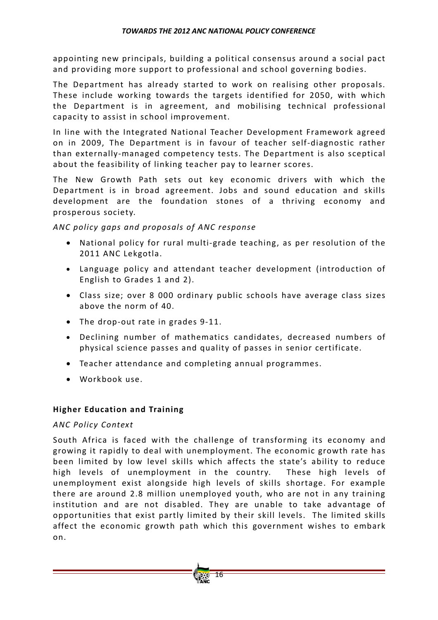appointing new principals, building a political consensus around a social pact and providing more support to professional and school governing bodies.

The Department has already started to work on realising other proposals. These include working towards the targets identified for 2050, with which the Department is in agreement, and mobilising technical professional capacity to assist in school improvement.

In line with the Integrated National Teacher Development Framework agreed on in 2009, The Department is in favour of teacher self-diagnostic rather than externally‐managed competency tests. The Department is also sceptical about the feasibility of linking teacher pay to learner scores.

The New Growth Path sets out key economic drivers with which the Department is in broad agreement. Jobs and sound education and skills development are the foundation stones of a thriving economy and prosperous society.

*ANC policy gaps and proposals o f ANC response*

- National policy for rural multi-grade teaching, as per resolution of the 2011 ANC Lekgotla.
- Language policy and attendant teacher development (introduction of English to Grades 1 and 2).
- Class size; over 8 000 ordinary public schools have average class sizes above the norm of 40.
- The drop‐out rate in grades 9‐11.
- Declining number of mathematics candidates, decreased numbers of physical science passes and quality of passes in senior certificate.
- Teacher attendance and completing annual programmes.
- Workbook use.

## **Higher Education and Training**

## *ANC Policy Context*

South Africa is faced with the challenge of transforming its economy and growing it rapidly to deal with unemployment. The economic growth rate has been limited by low level skills which affects the state's ability to reduce high levels of unemployment in the country. These high levels of unemployment exist alongside high levels of skills shortage. For example there are around 2.8 million unemployed youth, who are not in any training institution and are not disabled. They are unable to take advantage of opportunities that exist partly limited by their skill levels. The limited skills affect the economic growth path which this government wishes to embark on.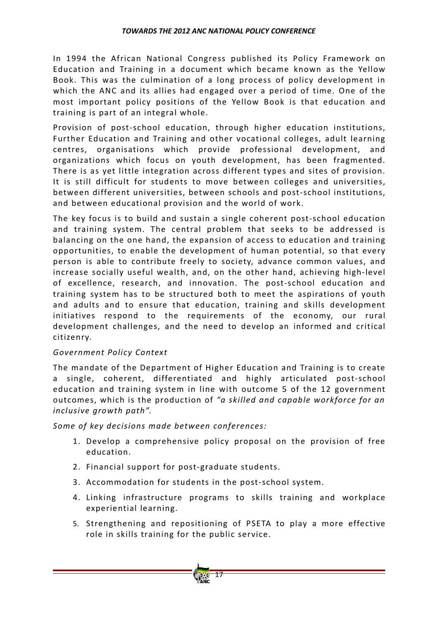In 1994 the African National Congress published its Policy Framework on Education and Training in a document which became known as the Yellow Book. This was the culmination of a long process of policy development in which the ANC and its allies had engaged over a period of time. One of the most important policy positions of the Yellow Book is that education and training is part of an integral whole.

Provision of post-school education, through higher education institutions, Further Education and Training and other vocational colleges, adult learning centres, organisations which provide professional development, and organizations which focus on youth development, has been fragmented. There is as yet little integration across different types and sites of provision. It is still difficult for students to move between colleges and universities, between different universities, between schools and post‐school institutions, and between educational provision and the world of work.

The key focus is to build and sustain a single coherent post‐school education and training system. The central problem that seeks to be addressed is balancing on the one hand, the expansion of access to education and training opportunities, to enable the development of human potential, so that every person is able to contribute freely to society, advance common values, and increase socially useful wealth, and, on the other hand, achieving high‐level of excellence, research, and innovation. The post-school education and training system has to be structured both to meet the aspirations of youth and adults and to ensure that education, training and skills development initiatives respond to the requirements of the economy, our rural development challenges, and the need to develop an informed and critical citizenry.

## *Government Policy Context*

The mandate of the Department of Higher Education and Training is to create a single, coherent, differentiated and highly articulated post‐school education and training system in line with outcome 5 of the 12 government outcomes, which is the production o f *"a skilled and capable workforce for an inclusive growth path"*.

*Some* of key decisions made between conferences:

- 1. Develop a comprehensive policy proposal on the provision of free education.
- 2. Financial support for post‐graduate students.
- 3. Accommodation for students in the post‐school system.
- 4. Linking infrastructure programs to skills training and workplace experiential learning.
- 5. Strengthening and repositioning of PSETA to play a more effective role in skills training for the public service.

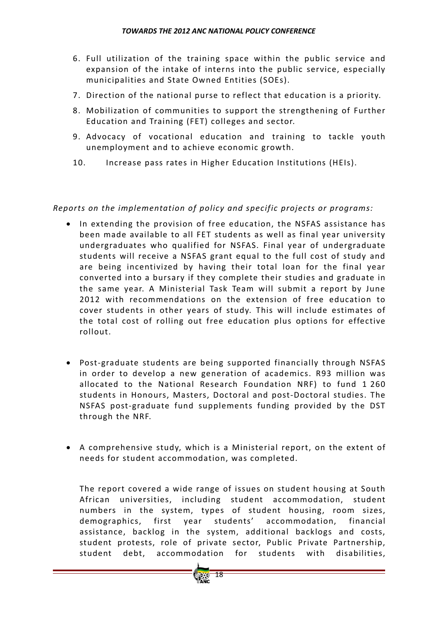- 6. Full utilization of the training space within the public service and expansion of the intake of interns into the public service, especially municipalities and State Owned Entities (SOEs).
- 7. Direction of the national purse to reflect that education is a priority.
- 8. Mobilization of communities to support the strengthening of Further Education and Training (FET) colleges and sector.
- 9. Advocacy of vocational education and training to tackle youth unemployment and to achieve economic growth.
- 10. Increase pass rates in Higher Education Institutions (HEIs).

*Reports on the implementation of policy and specific projects or programs:* 

- In extending the provision of free education, the NSFAS assistance has been made available to all FET students as well as final year university undergraduates who qualified for NSFAS. Final year of undergraduate students will receive a NSFAS grant equal to the full cost of study and are being incentivized by having their total loan for the final year converted into a bursary if they complete their studies and graduate in the same year. A Ministerial Task Team will submit a report by June 2012 with recommendations on the extension of free education to cover students in other years of study. This will include estimates of the total cost of rolling out free education plus options for effective rollout.
- Post‐graduate students are being supported financially through NSFAS in order to develop a new generation of academics. R93 million was allocated to the National Research Foundation NRF) to fund 1 260 students in Honours, Masters, Doctoral and post‐Doctoral studies. The NSFAS post‐graduate fund supplements funding provided by the DST through the NRF.
- $\bullet$  A comprehensive study, which is a Ministerial report, on the extent of needs for student accommodation, was completed.

The report covered a wide range of issues on student housing at South African universities, including student accommodation, student numbers in the system, types of student housing, room sizes, demographics, first year students' accommodation, financial assistance, backlog in the system, additional backlogs and costs, student protests, role of private sector, Public Private Partnership, student debt, accommodation for students with disabilities,

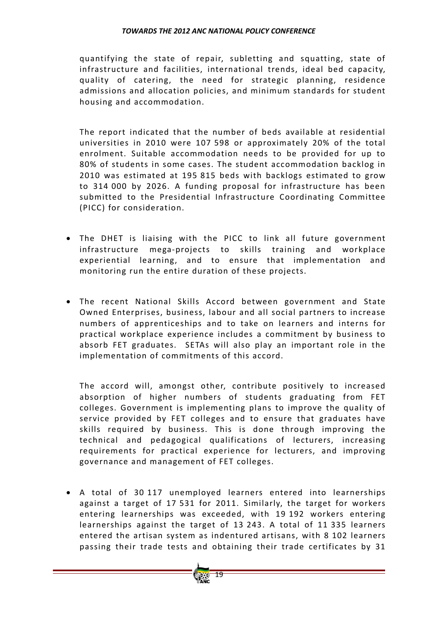quantifying the state of repair, subletting and squatting, state of infrastructure and facilities, international trends, ideal bed capacity, quality of catering, the need for strategic planning, residence admissions and allocation policies, and minimum standards for student housing and accommodation.

The report indicated that the number of beds available at residential universities in 2010 were 107 598 or approximately 20% of the total enrolment. Suitable accommodation needs to be provided for up to 80% of students in some cases. The student accommodation backlog in 2010 was estimated at 195 815 beds with backlogs estimated to grow to 314 000 by 2026. A funding proposal for infrastructure has been submitted to the Presidential Infrastructure Coordinating Committee (PICC) for consideration.

- The DHET is liaising with the PICC to link all future government infrastructure mega‐projects to skills training and workplace experiential learning, and to ensure that implementation and monitoring run the entire duration of these projects.
- The recent National Skills Accord between government and State Owned Enterprises, business, labour and all social partners to increase numbers of apprenticeships and to take on learners and interns for practical workplace experience includes a commitment by business to absorb FET graduates. SETAs will also play an important role in the implementation of commitments of this accord.

The accord will, amongst other, contribute positively to increased absorption of higher numbers of students graduating from FET colleges. Government is implementing plans to improve the quality of service provided by FET colleges and to ensure that graduates have skills required by business. This is done through improving the technical and pedagogical qualifications of lecturers, increasing requirements for practical experience for lecturers, and improving governance and management of FET colleges.

• A total of 30 117 unemployed learners entered into learnerships against a target of 17 531 for 2011. Similarly, the target for workers entering learnerships was exceeded, with 19 192 workers entering learnerships against the target of 13 243. A total of 11 335 learners entered the artisan system as indentured artisans, with 8 102 learners passing their trade tests and obtaining their trade certificates by 31

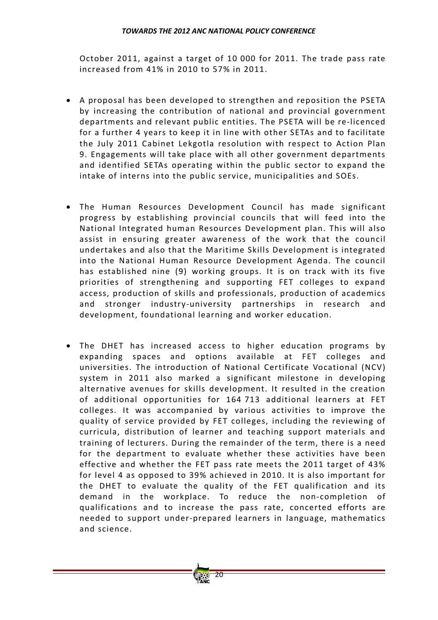October 2011, against a target of 10 000 for 2011. The trade pass rate increased from 41% in 2010 to 57% in 2011.

- A proposal has been developed to strengthen and reposition the PSETA by increasing the contribution of national and provincial government departments and relevant public entities. The PSETA will be re‐licenced for a further 4 years to keep it in line with other SETAs and to facilitate the July 2011 Cabinet Lekgotla resolution with respect to Action Plan 9. Engagements will take place with all other government departments and identified SETAs operating within the public sector to expand the intake of interns into the public service, municipalities and SOEs.
- The Human Resources Development Council has made significant progress by establishing provincial councils that will feed into the National Integrated human Resources Development plan. This will also assist in ensuring greater awareness of the work that the council undertakes and also that the Maritime Skills Development is integrated into the National Human Resource Development Agenda. The council has established nine (9) working groups. It is on track with its five priorities of strengthening and supporting FET colleges to expand access, production of skills and professionals, production of academics and stronger industry‐university partnerships in research and development, foundational learning and worker education.
- The DHET has increased access to higher education programs by expanding spaces and options available at FET colleges and universities. The introduction of National Certificate Vocational (NCV) system in 2011 also marked a significant milestone in developing alternative avenues for skills development. It resulted in the creation of additional opportunities for 164 713 additional learners at FET colleges. It was accompanied by various activities to improve the quality of service provided by FET colleges, including the reviewing of curricula, distribution of learner and teaching support materials and training of lecturers. During the remainder of the term, there is a need for the department to evaluate whether these activities have been effective and whether the FET pass rate meets the 2011 target of 43% for level 4 as opposed to 39% achieved in 2010. It is also important for the DHET to evaluate the quality of the FET qualification and its demand in the workplace. To reduce the non-completion of qualifications and to increase the pass rate, concerted efforts are needed to support under‐prepared learners in language, mathematics and science.

20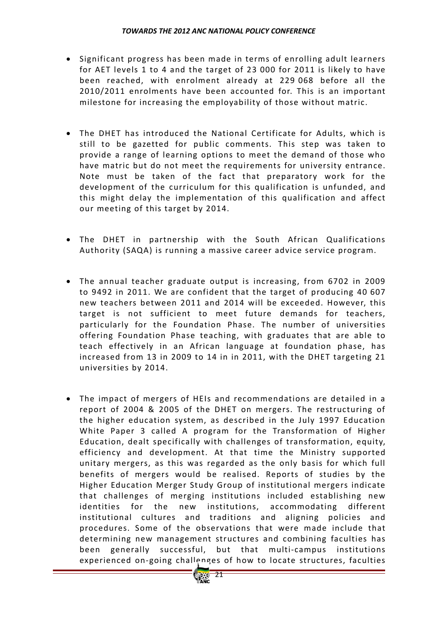- Significant progress has been made in terms of enrolling adult learners for AET levels 1 to 4 and the target of 23 000 for 2011 is likely to have been reached, with enrolment already at 229 068 before all the 2010/2011 enrolments have been accounted for. This is an important milestone for increasing the employability of those without matric.
- The DHET has introduced the National Certificate for Adults, which is still to be gazetted for public comments. This step was taken to provide a range of learning options to meet the demand of those who have matric but do not meet the requirements for university entrance. Note must be taken of the fact that preparatory work for the development of the curriculum for this qualification is unfunded, and this might delay the implementation of this qualification and affect our meeting of this target by 2014.
- The DHET in partnership with the South African Qualifications Authority (SAQA) is running a massive career advice service program.
- The annual teacher graduate output is increasing, from 6702 in 2009 to 9492 in 2011. We are confident that the target of producing 40 607 new teachers between 2011 and 2014 will be exceeded. However, this target is not sufficient to meet future demands for teachers, particularly for the Foundation Phase. The number of universities offering Foundation Phase teaching, with graduates that are able to teach effectively in an African language at foundation phase, has increased from 13 in 2009 to 14 in in 2011, with the DHET targeting 21 universities by 2014.
- The impact of mergers of HEIs and recommendations are detailed in a report of 2004 & 2005 of the DHET on mergers. The restructuring of the higher education system, as described in the July 1997 Education White Paper 3 called A program for the Transformation of Higher Education, dealt specifically with challenges of transformation, equity, efficiency and development. At that time the Ministry supported unitary mergers, as this was regarded as the only basis for which full benefits of mergers would be realised. Reports of studies by the Higher Education Merger Study Group of institutional mergers indicate that challenges of merging institutions included establishing new identities for the new institutions, accommodating different institutional cultures and traditions and aligning policies and procedures. Some of the observations that were made include that determining new management structures and combining faculties has been generally successful, but that multi-campus institutions experienced on-going challenges of how to locate structures, faculties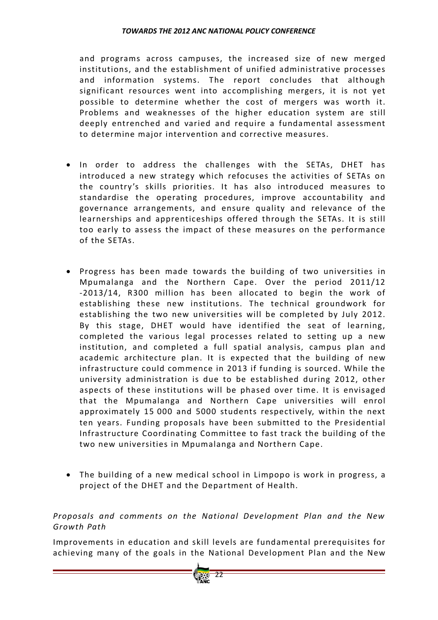and programs across campuses, the increased size of new merged institutions, and the establishment of unified administrative processes and information systems. The report concludes that although significant resources went into accomplishing mergers, it is not yet possible to determine whether the cost of mergers was worth it. Problems and weaknesses of the higher education system are still deeply entrenched and varied and require a fundamental assessment to determine major intervention and corrective measures.

- In order to address the challenges with the SETAs, DHET has introduced a new strategy which refocuses the activities of SETAs on the country's skills priorities. It has also introduced measures to standardise the operating procedures, improve accountability and governance arrangements, and ensure quality and relevance of the learnerships and apprenticeships offered through the SETAs. It is still too early to assess the impact of these measures on the performance of the SFTAs.
- Progress has been made towards the building of two universities in Mpumalanga and the Northern Cape. Over the period 2011/12 -2013/14, R300 million has been allocated to begin the work of establishing these new institutions. The technical groundwork for establishing the two new universities will be completed by July 2012. By this stage, DHET would have identified the seat of learning, completed the various legal processes related to setting up a new institution, and completed a full spatial analysis, campus plan and academic architecture plan. It is expected that the building of new infrastructure could commence in 2013 if funding is sourced. While the university administration is due to be established during 2012, other aspects of these institutions will be phased over time. It is envisaged that the Mpumalanga and Northern Cape universities will enrol approximately 15 000 and 5000 students respectively, within the next ten years. Funding proposals have been submitted to the Presidential Infrastructure Coordinating Committee to fast track the building of the two new universities in Mpumalanga and Northern Cape.
- The building of a new medical school in Limpopo is work in progress, a project of the DHET and the Department of Health.

## *Proposals and comments on the National Development Plan and the New Growth Path*

Improvements in education and skill levels are fundamental prerequisites for achieving many of the goals in the National Development Plan and the New

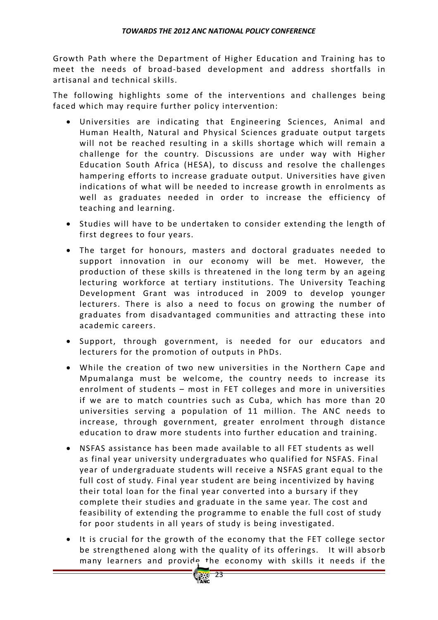Growth Path where the Department of Higher Education and Training has to meet the needs of broad-based development and address shortfalls in artisanal and technical skills.

The following highlights some of the interventions and challenges being faced which may require further policy intervention:

- Universities are indicating that Engineering Sciences, Animal and Human Health, Natural and Physical Sciences graduate output targets will not be reached resulting in a skills shortage which will remain a challenge for the country. Discussions are under way with Higher Education South Africa (HESA), to discuss and resolve the challenges hampering efforts to increase graduate output. Universities have given indications of what will be needed to increase growth in enrolments as well as graduates needed in order to increase the efficiency of teaching and learning.
- Studies will have to be undertaken to consider extending the length of first degrees to four years.
- The target for honours, masters and doctoral graduates needed to support innovation in our economy will be met. However, the production of these skills is threatened in the long term by an ageing lecturing workforce at tertiary institutions. The University Teaching Development Grant was introduced in 2009 to develop younger lecturers. There is also a need to focus on growing the number of graduates from disadvantaged communities and attracting these into academic careers.
- Support, through government, is needed for our educators and lecturers for the promotion of outputs in PhDs.
- While the creation of two new universities in the Northern Cape and Mpumalanga must be welcome, the country needs to increase its enrolment of students – most in FET colleges and more in universities if we are to match countries such as Cuba, which has more than 20 universities serving a population of 11 million. The ANC needs to increase, through government, greater enrolment through distance education to draw more students into further education and training.
- NSFAS assistance has been made available to all FET students as well as final year university undergraduates who qualified for NSFAS. Final year of undergraduate students will receive a NSFAS grant equal to the full cost of study. Final year student are being incentivized by having their total loan for the final year converted into a bursary if they complete their studies and graduate in the same year. The cost and feasibility of extending the programme to enable the full cost of study for poor students in all years of study is being investigated.
- It is crucial for the growth of the economy that the FET college sector be strengthened along with the quality of its offerings. It will absorb many learners and provide the economy with skills it needs if the

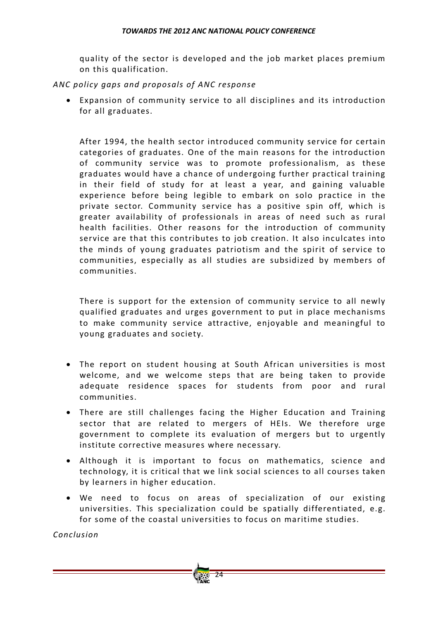quality of the sector is developed and the job market places premium on this qualification.

## *ANC policy gaps and proposals o f ANC response*

• Expansion of community service to all disciplines and its introduction for all graduates.

After 1994, the health sector introduced community service for certain categories of graduates. One of the main reasons for the introduction of community service was to promote professionalism, as these graduates would have a chance of undergoing further practical training in their field of study for at least a year, and gaining valuable experience before being legible to embark on solo practice in the private sector. Community service has a positive spin off, which is greater availability of professionals in areas of need such as rural health facilities. Other reasons for the introduction of community service are that this contributes to job creation. It also inculcates into the minds of young graduates patriotism and the spirit of service to communities, especially as all studies are subsidized by members of communities.

There is support for the extension of community service to all newly qualified graduates and urges government to put in place mechanisms to make community service attractive, enjoyable and meaningful to young graduates and society.

- The report on student housing at South African universities is most welcome, and we welcome steps that are being taken to provide adequate residence spaces for students from poor and rural communities.
- There are still challenges facing the Higher Education and Training sector that are related to mergers of HEIs. We therefore urge government to complete its evaluation of mergers but to urgently institute corrective measures where necessary.
- Although it is important to focus on mathematics, science and technology, it is critical that we link social sciences to all courses taken by learners in higher education.
- We need to focus on areas of specialization of our existing universities. This specialization could be spatially differentiated, e.g. for some of the coastal universities to focus on maritime studies.

24

*Conclusion*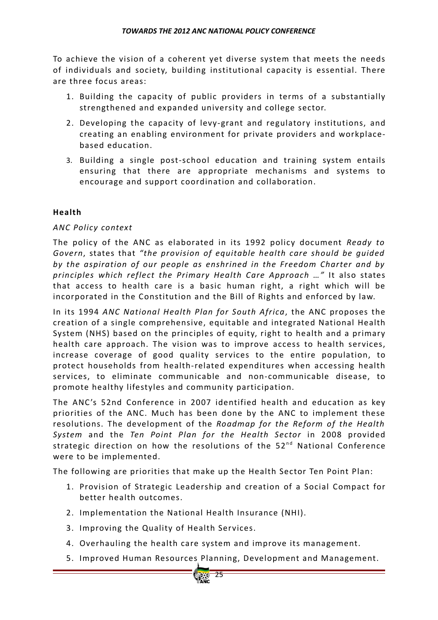To achieve the vision of a coherent yet diverse system that meets the needs of individuals and society, building institutional capacity is essential. There are three focus areas:

- 1. Building the capacity of public providers in terms of a substantially strengthened and expanded university and college sector.
- 2. Developing the capacity of levy-grant and regulatory institutions, and creating an enabling environment for private providers and workplace‐ based education.
- 3. Building a single post‐school education and training system entails ensuring that there are appropriate mechanisms and systems to encourage and support coordination and collaboration.

## **Health**

## *ANC Policy context*

The policy of the ANC as elaborated in its 1992 policy document *Ready to Govern*, states that "the provision of equitable health care should be quided *by the aspiration o f our people as enshrined in the Freedom Charter and by principles which reflect the Primary Health Care Approach …"* It also states that access to health care is a basic human right, a right which will be incorporated in the Constitution and the Bill of Rights and enforced by law.

In its 1994 *ANC National Health Plan for South Africa*, the ANC proposes the creation of a single comprehensive, equitable and integrated National Health System (NHS) based on the principles of equity, right to health and a primary health care approach. The vision was to improve access to health services, increase coverage of good quality services to the entire population, to protect households from health‐related expenditures when accessing health services, to eliminate communicable and non‐communicable disease, to promote healthy lifestyles and community participation.

The ANC's 52nd Conference in 2007 identified health and education as key priorities of the ANC. Much has been done by the ANC to implement these resolutions. The development of the *Roadmap for the Reform of the Health System* and the *Ten Point Plan for the Health Sector* in 2008 provided strategic direction on how the resolutions of the  $52<sup>nd</sup>$  National Conference were to be implemented.

The following are priorities that make up the Health Sector Ten Point Plan:

- 1. Provision of Strategic Leadership and creation of a Social Compact for better health outcomes.
- 2. Implementation the National Health Insurance (NHI).
- 3. Improving the Quality of Health Services.
- 4. Overhauling the health care system and improve its management.
- 5. Improved Human Resources Planning, Development and Management.

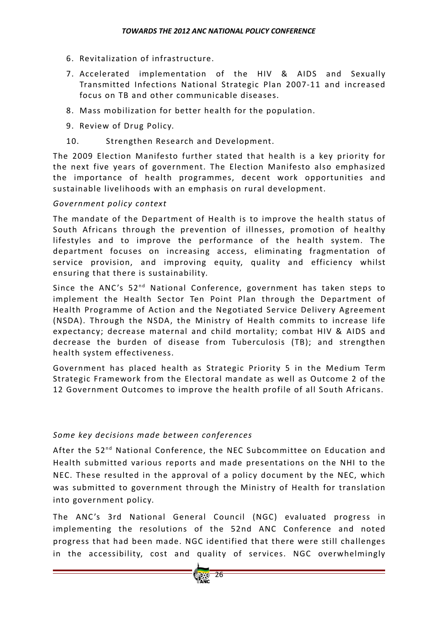- 6. Revitalization of infrastructure.
- 7. Accelerated implementation of the HIV & AIDS and Sexually Transmitted Infections National Strategic Plan 2007‐11 and increased focus on TB and other communicable diseases.
- 8. Mass mobilization for better health for the population.
- 9. Review of Drug Policy.
- 10. Strengthen Research and Development.

The 2009 Election Manifesto further stated that health is a key priority for the next five years of government. The Election Manifesto also emphasized the importance of health programmes, decent work opportunities and sustainable livelihoods with an emphasis on rural development.

## *Government policy context*

The mandate of the Department of Health is to improve the health status of South Africans through the prevention of illnesses, promotion of healthy lifestyles and to improve the performance of the health system. The department focuses on increasing access, eliminating fragmentation of service provision, and improving equity, quality and efficiency whilst ensuring that there is sustainability.

Since the ANC's  $52^{nd}$  National Conference, government has taken steps to implement the Health Sector Ten Point Plan through the Department of Health Programme of Action and the Negotiated Service Delivery Agreement (NSDA). Through the NSDA, the Ministry of Health commits to increase life expectancy; decrease maternal and child mortality; combat HIV & AIDS and decrease the burden of disease from Tuberculosis (TB); and strengthen health system effectiveness.

Government has placed health as Strategic Priority 5 in the Medium Term Strategic Framework from the Electoral mandate as well as Outcome 2 of the 12 Government Outcomes to improve the health profile of all South Africans.

## *Some key decisions made between conferences*

After the 52<sup>nd</sup> National Conference, the NEC Subcommittee on Education and Health submitted various reports and made presentations on the NHI to the NEC. These resulted in the approval of a policy document by the NEC, which was submitted to government through the Ministry of Health for translation into government policy.

The ANC's 3rd National General Council (NGC) evaluated progress in implementing the resolutions of the 52nd ANC Conference and noted progress that had been made. NGC identified that there were still challenges in the accessibility, cost and quality of services. NGC overwhelmingly

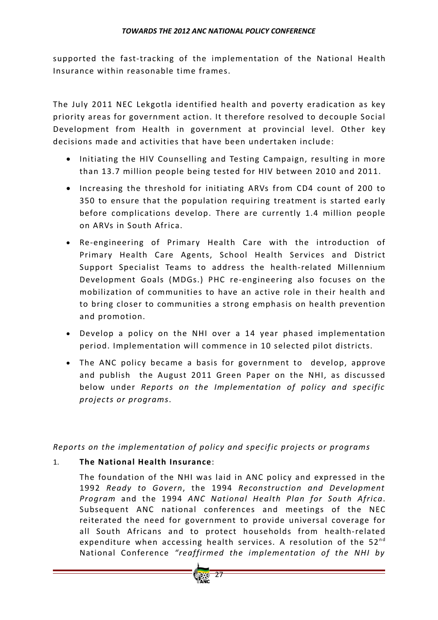supported the fast-tracking of the implementation of the National Health Insurance within reasonable time frames.

The July 2011 NEC Lekgotla identified health and poverty eradication as key priority areas for government action. It therefore resolved to decouple Social Development from Health in government at provincial level. Other key decisions made and activities that have been undertaken include:

- Initiating the HIV Counselling and Testing Campaign, resulting in more than 13.7 million people being tested for HIV between 2010 and 2011.
- Increasing the threshold for initiating ARVs from CD4 count of 200 to 350 to ensure that the population requiring treatment is started early before complications develop. There are currently 1.4 million people on ARVs in South Africa.
- Re-engineering of Primary Health Care with the introduction of Primary Health Care Agents, School Health Services and District Support Specialist Teams to address the health‐related Millennium Development Goals (MDGs.) PHC re-engineering also focuses on the mobilization of communities to have an active role in their health and to bring closer to communities a strong emphasis on health prevention and promotion.
- Develop a policy on the NHI over a 14 year phased implementation period. Implementation will commence in 10 selected pilot districts.
- The ANC policy became a basis for government to develop, approve and publish the August 2011 Green Paper on the NHI, as discussed below under *Reports on the Implementation o f policy and specific projects or programs*.

*Reports on the implementation o f policy and specific projects or programs*

## 1. **The National Health Insurance**:

The foundation of the NHI was laid in ANC policy and expressed in the 1992 *Ready to Govern*, the 1994 *Reconstruction and Development Program* and the 1994 *ANC National Health Plan for South Africa*. Subsequent ANC national conferences and meetings of the NEC reiterated the need for government to provide universal coverage for all South Africans and to protect households from health‐related expenditure when accessing health services. A resolution of the  $52^{nd}$ National Conference *"reaffirmed the implementation o f the NHI by*

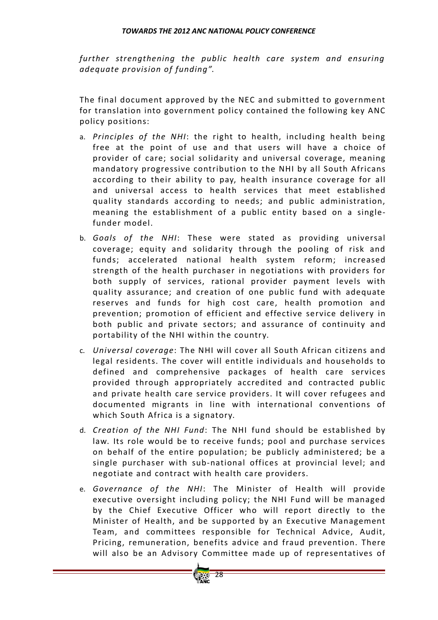*further strengthening the public health care system and ensuring adequate provision o f funding"*.

The final document approved by the NEC and submitted to government for translation into government policy contained the following key ANC policy positions:

- a. Principles of the NHI: the right to health, including health being free at the point of use and that users will have a choice of provider of care; social solidarity and universal coverage, meaning mandatory progressive contribution to the NHI by all South Africans according to their ability to pay, health insurance coverage for all and universal access to health services that meet established quality standards according to needs; and public administration, meaning the establishment of a public entity based on a singlefunder model.
- b. *Goals of the NHI*: These were stated as providing universal coverage; equity and solidarity through the pooling of risk and funds; accelerated national health system reform; increased strength of the health purchaser in negotiations with providers for both supply of services, rational provider payment levels with quality assurance; and creation of one public fund with adequate reserves and funds for high cost care, health promotion and prevention; promotion of efficient and effective service delivery in both public and private sectors; and assurance of continuity and portability of the NHI within the country.
- c. *Universal coverage*: The NHI will cover all South African citizens and legal residents. The cover will entitle individuals and households to defined and comprehensive packages of health care services provided through appropriately accredited and contracted public and private health care service providers. It will cover refugees and documented migrants in line with international conventions of which South Africa is a signatory.
- d. *Creation of the NHI Fund*: The NHI fund should be established by law. Its role would be to receive funds; pool and purchase services on behalf of the entire population; be publicly administered; be a single purchaser with sub-national offices at provincial level; and negotiate and contract with health care providers.
- e. *Governance of the NHI*: The Minister of Health will provide executive oversight including policy; the NHI Fund will be managed by the Chief Executive Officer who will report directly to the Minister of Health, and be supported by an Executive Management Team, and committees responsible for Technical Advice, Audit, Pricing, remuneration, benefits advice and fraud prevention. There will also be an Advisory Committee made up of representatives of

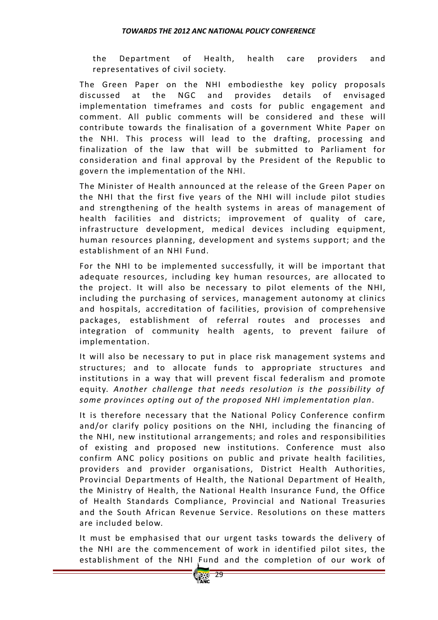the Department of Health, health care providers and representatives of civil society.

The Green Paper on the NHI embodiesthe key policy proposals discussed at the NGC and provides details of envisaged implementation timeframes and costs for public engagement and comment. All public comments will be considered and these will contribute towards the finalisation of a government White Paper on the NHI. This process will lead to the drafting, processing and finalization of the law that will be submitted to Parliament for consideration and final approval by the President of the Republic to govern the implementation of the NHI.

The Minister of Health announced at the release of the Green Paper on the NHI that the first five years of the NHI will include pilot studies and strengthening of the health systems in areas of management of health facilities and districts; improvement of quality of care, infrastructure development, medical devices including equipment, human resources planning, development and systems support; and the establishment of an NHI Fund.

For the NHI to be implemented successfully, it will be important that adequate resources, including key human resources, are allocated to the project. It will also be necessary to pilot elements of the NHI, including the purchasing of services, management autonomy at clinics and hospitals, accreditation of facilities, provision of comprehensive packages, establishment of referral routes and processes and integration of community health agents, to prevent failure of implementation.

It will also be necessary to put in place risk management systems and structures; and to allocate funds to appropriate structures and institutions in a way that will prevent fiscal federalism and promote equity. *Another challenge that needs resolution is the possibility o f some provinces opting out o f the proposed NHI implementation plan*.

It is therefore necessary that the National Policy Conference confirm and/or clarify policy positions on the NHI, including the financing of the NHI, new institutional arrangements; and roles and responsibilities of existing and proposed new institutions. Conference must also confirm ANC policy positions on public and private health facilities, providers and provider organisations, District Health Authorities, Provincial Departments of Health, the National Department of Health, the Ministry of Health, the National Health Insurance Fund, the Office of Health Standards Compliance, Provincial and National Treasuries and the South African Revenue Service. Resolutions on these matters are included below.

It must be emphasised that our urgent tasks towards the delivery of the NHI are the commencement of work in identified pilot sites, the establishment of the NHI Fund and the completion of our work of

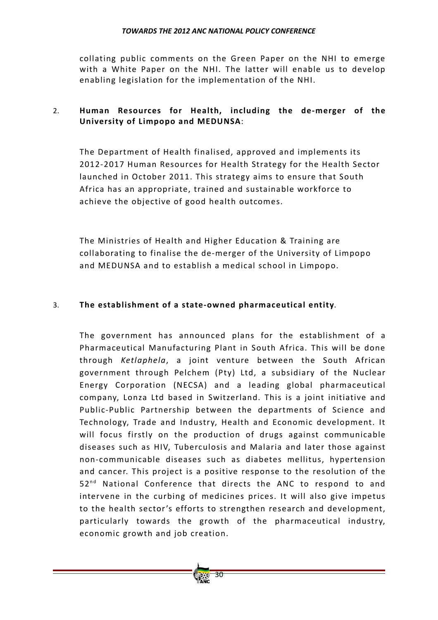collating public comments on the Green Paper on the NHI to emerge with a White Paper on the NHI. The latter will enable us to develop enabling legislation for the implementation of the NHI.

## 2. **Human Resources for Health, including the de‐merger o f the University of Limpopo and MEDUNSA:**

The Department of Health finalised, approved and implements its 2012‐2017 Human Resources for Health Strategy for the Health Sector launched in October 2011. This strategy aims to ensure that South Africa has an appropriate, trained and sustainable workforce to achieve the objective of good health outcomes.

The Ministries of Health and Higher Education & Training are collaborating to finalise the de-merger of the University of Limpopo and MEDUNSA and to establish a medical school in Limpopo.

## 3. **The establishment o f a state‐owned pharmaceutical entity**.

The government has announced plans for the establishment of a Pharmaceutical Manufacturing Plant in South Africa. This will be done through *Ketlaphela*, a joint venture between the South African government through Pelchem (Pty) Ltd, a subsidiary of the Nuclear Energy Corporation (NECSA) and a leading global pharmaceutical company, Lonza Ltd based in Switzerland. This is a joint initiative and Public-Public Partnership between the departments of Science and Technology, Trade and Industry, Health and Economic development. It will focus firstly on the production of drugs against communicable diseases such as HIV, Tuberculosis and Malaria and later those against non‐communicable diseases such as diabetes mellitus, hypertension and cancer. This project is a positive response to the resolution of the 52<sup>nd</sup> National Conference that directs the ANC to respond to and intervene in the curbing of medicines prices. It will also give impetus to the health sector's efforts to strengthen research and development, particularly towards the growth of the pharmaceutical industry, economic growth and job creation.

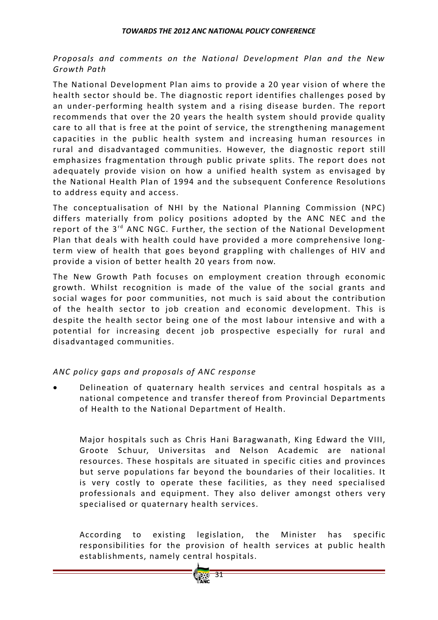## *Proposals and comments on the National Development Plan and the New Growth Path*

The National Development Plan aims to provide a 20 year vision of where the health sector should be. The diagnostic report identifies challenges posed by an under‐performing health system and a rising disease burden. The report recommends that over the 20 years the health system should provide quality care to all that is free at the point of service, the strengthening management capacities in the public health system and increasing human resources in rural and disadvantaged communities. However, the diagnostic report still emphasizes fragmentation through public private splits. The report does not adequately provide vision on how a unified health system as envisaged by the National Health Plan of 1994 and the subsequent Conference Resolutions to address equity and access.

The conceptualisation of NHI by the National Planning Commission (NPC) differs materially from policy positions adopted by the ANC NEC and the report of the  $3^{rd}$  ANC NGC. Further, the section of the National Development Plan that deals with health could have provided a more comprehensive long‐ term view of health that goes beyond grappling with challenges of HIV and provide a vision of better health 20 years from now.

The New Growth Path focuses on employment creation through economic growth. Whilst recognition is made of the value of the social grants and social wages for poor communities, not much is said about the contribution of the health sector to job creation and economic development. This is despite the health sector being one of the most labour intensive and with a potential for increasing decent job prospective especially for rural and disadvantaged communities.

## *ANC policy gaps and proposals o f ANC response*

Delineation of quaternary health services and central hospitals as a national competence and transfer thereof from Provincial Departments of Health to the National Department of Health.

Major hospitals such as Chris Hani Baragwanath, King Edward the VIII, Groote Schuur, Universitas and Nelson Academic are national resources. These hospitals are situated in specific cities and provinces but serve populations far beyond the boundaries of their localities. It is very costly to operate these facilities, as they need specialised professionals and equipment. They also deliver amongst others very specialised or quaternary health services.

According to existing legislation, the Minister has specific responsibilities for the provision of health services at public health establishments, namely central hospitals.

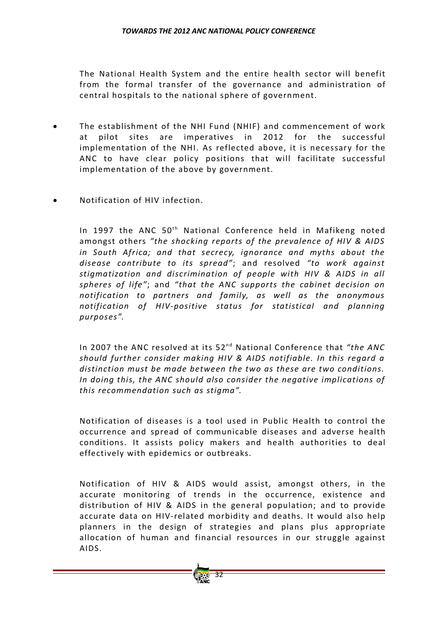The National Health System and the entire health sector will benefit from the formal transfer of the governance and administration of central hospitals to the national sphere of government.

- The establishment of the NHI Fund (NHIF) and commencement of work at pilot sites are imperatives in 2012 for the successful implementation of the NHI. As reflected above, it is necessary for the ANC to have clear policy positions that will facilitate successful implementation of the above by government.
- Notification of HIV infection.

In 1997 the ANC  $50<sup>th</sup>$  National Conference held in Mafikeng noted amongst others *"the shocking reports o f the prevalence o f HIV & AIDS in South Africa; and that secrecy, ignorance and myths about the disease contribute to its spread"*; and resolved *"to work against stigmatization and discrimination o f people with HIV & AIDS in all spheres o f life"*; and *"that the ANC supports the cabinet decision on notification to partners and family, as well as the anonymous notification of HIV*-positive *status for statistical and planning purposes"*.

In 2007 the ANC resolved at its 52<sup>nd</sup> National Conference that *"the ANC should further consider making HIV & AIDS notifiable. In this regard a distinction must be made between the two as these are two conditions. In doing this, the ANC should also consider the negative implications o f this recommendation such as stigma"*.

Notification of diseases is a tool used in Public Health to control the occurrence and spread of communicable diseases and adverse health conditions. It assists policy makers and health authorities to deal effectively with epidemics or outbreaks.

Notification of HIV & AIDS would assist, amongst others, in the accurate monitoring of trends in the occurrence, existence and distribution of HIV & AIDS in the general population; and to provide accurate data on HIV‐related morbidity and deaths. It would also help planners in the design of strategies and plans plus appropriate allocation of human and financial resources in our struggle against AIDS.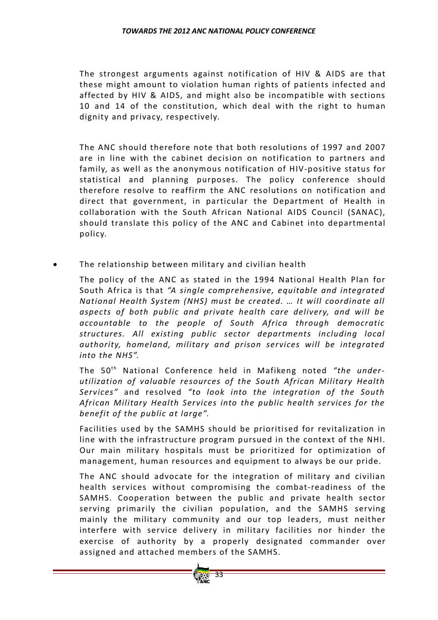The strongest arguments against notification of HIV & AIDS are that these might amount to violation human rights of patients infected and affected by HIV & AIDS, and might also be incompatible with sections 10 and 14 of the constitution, which deal with the right to human dignity and privacy, respectively.

The ANC should therefore note that both resolutions of 1997 and 2007 are in line with the cabinet decision on notification to partners and family, as well as the anonymous notification of HIV-positive status for statistical and planning purposes. The policy conference should therefore resolve to reaffirm the ANC resolutions on notification and direct that government, in particular the Department of Health in collaboration with the South African National AIDS Council (SANAC), should translate this policy of the ANC and Cabinet into departmental policy.

The relationship between military and civilian health

The policy of the ANC as stated in the 1994 National Health Plan for South Africa is that *"A single comprehensive, equitable and integrated National Health System (NHS) must be created. … It will coordinate all aspects o f both public and private health care delivery, and will be accountable to the people o f South Africa through democratic structures. All existing public sector departments including local authority, homeland, military and prison services will be integrated into the NHS".*

The 50<sup>th</sup> National Conference held in Mafikeng noted "the under*utilization* of valuable resources of the South African Military Health *Services"* and resolved *"to look into the integration o f the South African Military Health Services into the public health services for the benefit* of the *public* at *large*".

Facilities used by the SAMHS should be prioritised for revitalization in line with the infrastructure program pursued in the context of the NHI. Our main military hospitals must be prioritized for optimization of management, human resources and equipment to always be our pride.

The ANC should advocate for the integration of military and civilian health services without compromising the combat-readiness of the SAMHS. Cooperation between the public and private health sector serving primarily the civilian population, and the SAMHS serving mainly the military community and our top leaders, must neither interfere with service delivery in military facilities nor hinder the exercise of authority by a properly designated commander over assigned and attached members of the SAMHS.

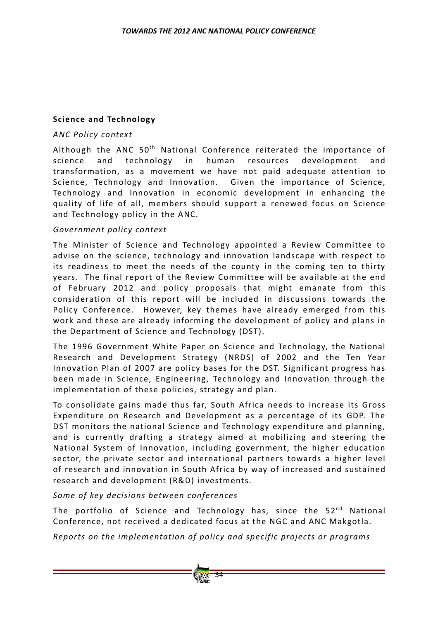## **Science and Technology**

#### *ANC Policy context*

Although the ANC  $50<sup>th</sup>$  National Conference reiterated the importance of science and technology in human resources development and transformation, as a movement we have not paid adequate attention to Science, Technology and Innovation. Given the importance of Science, Technology and Innovation in economic development in enhancing the quality of life of all, members should support a renewed focus on Science and Technology policy in the ANC.

#### *Government policy context*

The Minister of Science and Technology appointed a Review Committee to advise on the science, technology and innovation landscape with respect to its readiness to meet the needs of the county in the coming ten to thirty years. The final report of the Review Committee will be available at the end of February 2012 and policy proposals that might emanate from this consideration of this report will be included in discussions towards the Policy Conference. However, key themes have already emerged from this work and these are already informing the development of policy and plans in the Department of Science and Technology (DST).

The 1996 Government White Paper on Science and Technology, the National Research and Development Strategy (NRDS) of 2002 and the Ten Year Innovation Plan of 2007 are policy bases for the DST. Significant progress has been made in Science, Engineering, Technology and Innovation through the implementation of these policies, strategy and plan.

To consolidate gains made thus far, South Africa needs to increase its Gross Expenditure on Research and Development as a percentage of its GDP. The DST monitors the national Science and Technology expenditure and planning, and is currently drafting a strategy aimed at mobilizing and steering the National System of Innovation, including government, the higher education sector, the private sector and international partners towards a higher level of research and innovation in South Africa by way of increased and sustained research and development (R&D) investments.

*Some o f key decisions between conferences*

The portfolio of Science and Technology has, since the  $52<sup>nd</sup>$  National Conference, not received a dedicated focus at the NGC and ANC Makgotla.

*Reports on the implementation o f policy and specific projects or programs*

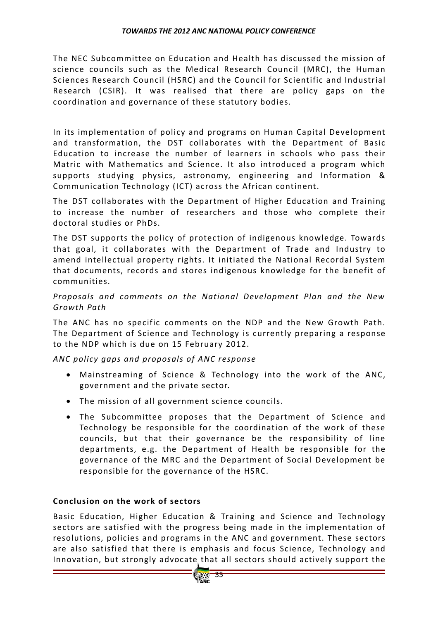The NFC Subcommittee on Education and Health has discussed the mission of science councils such as the Medical Research Council (MRC), the Human Sciences Research Council (HSRC) and the Council for Scientific and Industrial Research (CSIR). It was realised that there are policy gaps on the coordination and governance of these statutory bodies.

In its implementation of policy and programs on Human Capital Development and transformation, the DST collaborates with the Department of Basic Education to increase the number of learners in schools who pass their Matric with Mathematics and Science. It also introduced a program which supports studying physics, astronomy, engineering and Information & Communication Technology (ICT) across the African continent.

The DST collaborates with the Department of Higher Education and Training to increase the number of researchers and those who complete their doctoral studies or PhDs.

The DST supports the policy of protection of indigenous knowledge. Towards that goal, it collaborates with the Department of Trade and Industry to amend intellectual property rights. It initiated the National Recordal System that documents, records and stores indigenous knowledge for the benefit of communities.

*Proposals and comments on the National Development Plan and the New Growth Path*

The ANC has no specific comments on the NDP and the New Growth Path. The Department of Science and Technology is currently preparing a response to the NDP which is due on 15 February 2012.

*ANC policy gaps and proposals o f ANC response*

- Mainstreaming of Science & Technology into the work of the ANC, government and the private sector.
- The mission of all government science councils.
- The Subcommittee proposes that the Department of Science and Technology be responsible for the coordination of the work of these councils, but that their governance be the responsibility of line departments, e.g. the Department of Health be responsible for the governance of the MRC and the Department of Social Development be responsible for the governance of the HSRC.

## **Conclusion on the work of sectors**

Basic Education, Higher Education & Training and Science and Technology sectors are satisfied with the progress being made in the implementation of resolutions, policies and programs in the ANC and government. These sectors are also satisfied that there is emphasis and focus Science, Technology and Innovation, but strongly advocate that all sectors should actively support the

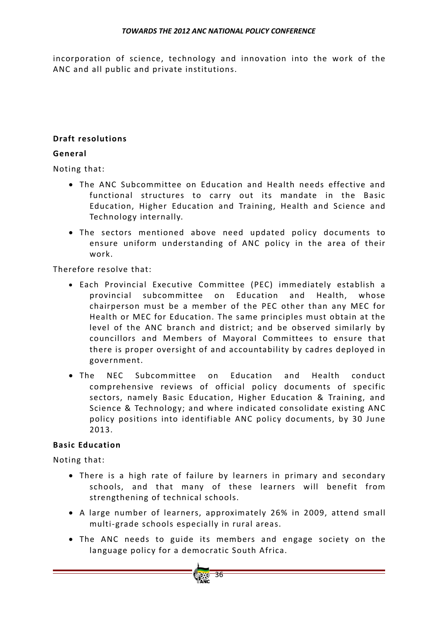incorporation of science, technology and innovation into the work of the ANC and all public and private institutions.

## **Draft resolutions**

## **General**

Noting that:

- The ANC Subcommittee on Education and Health needs effective and functional structures to carry out its mandate in the Basic Education, Higher Education and Training, Health and Science and Technology internally.
- The sectors mentioned above need updated policy documents to ensure uniform understanding of ANC policy in the area of their work.

Therefore resolve that:

- Each Provincial Executive Committee (PEC) immediately establish a provincial subcommittee on Education and Health, whose chairperson must be a member of the PEC other than any MEC for Health or MEC for Education. The same principles must obtain at the level of the ANC branch and district; and be observed similarly by councillors and Members of Mayoral Committees to ensure that there is proper oversight of and accountability by cadres deployed in government.
- The NEC Subcommittee on Education and Health conduct comprehensive reviews of official policy documents of specific sectors, namely Basic Education, Higher Education & Training, and Science & Technology; and where indicated consolidate existing ANC policy positions into identifiable ANC policy documents, by 30 June 2013.

## **Basic Education**

Noting that:

- There is a high rate of failure by learners in primary and secondary schools, and that many of these learners will benefit from strengthening of technical schools.
- A large number of learners, approximately 26% in 2009, attend small multi‐grade schools especially in rural areas.
- The ANC needs to guide its members and engage society on the language policy for a democratic South Africa.

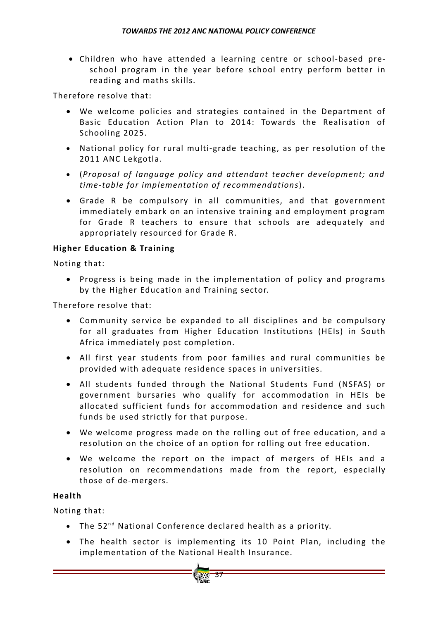• Children who have attended a learning centre or school‐based pre‐ school program in the year before school entry perform better in reading and maths skills.

Therefore resolve that:

- We welcome policies and strategies contained in the Department of Basic Education Action Plan to 2014: Towards the Realisation of Schooling 2025.
- National policy for rural multi-grade teaching, as per resolution of the 2011 ANC Lekgotla.
- (*Proposal of language policy and attendant teacher development; and time‐table for implementation o f recommendations*).
- Grade R be compulsory in all communities, and that government immediately embark on an intensive training and employment program for Grade R teachers to ensure that schools are adequately and appropriately resourced for Grade R.

## **Higher Education & Training**

Noting that:

• Progress is being made in the implementation of policy and programs by the Higher Education and Training sector.

Therefore resolve that:

- Community service be expanded to all disciplines and be compulsory for all graduates from Higher Education Institutions (HEIs) in South Africa immediately post completion.
- All first year students from poor families and rural communities be provided with adequate residence spaces in universities.
- All students funded through the National Students Fund (NSFAS) or government bursaries who qualify for accommodation in HEIs be allocated sufficient funds for accommodation and residence and such funds be used strictly for that purpose.
- We welcome progress made on the rolling out of free education, and a resolution on the choice of an option for rolling out free education.
- We welcome the report on the impact of mergers of HEIs and a resolution on recommendations made from the report, especially those of de-mergers.

## **Health**

Noting that:

- The  $52^{nd}$  National Conference declared health as a priority.
- The health sector is implementing its 10 Point Plan, including the implementation of the National Health Insurance.

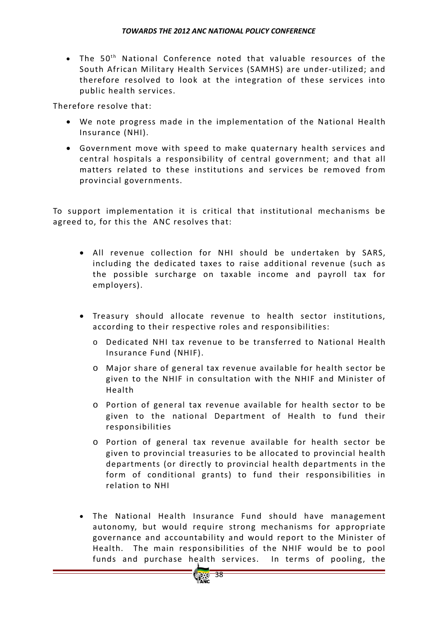• The 50<sup>th</sup> National Conference noted that valuable resources of the South African Military Health Services (SAMHS) are under‐utilized; and therefore resolved to look at the integration of these services into public health services.

Therefore resolve that:

- We note progress made in the implementation of the National Health Insurance (NHI).
- Government move with speed to make quaternary health services and central hospitals a responsibility of central government; and that all matters related to these institutions and services be removed from provincial governments.

To support implementation it is critical that institutional mechanisms be agreed to, for this the ANC resolves that:

- All revenue collection for NHI should be undertaken by SARS, including the dedicated taxes to raise additional revenue (such as the possible surcharge on taxable income and payroll tax for employers).
- Treasury should allocate revenue to health sector institutions, according to their respective roles and responsibilities:
	- o Dedicated NHI tax revenue to be transferred to National Health Insurance Fund (NHIF).
	- $\circ$  Major share of general tax revenue available for health sector be given to the NHIF in consultation with the NHIF and Minister of Health
	- $\circ$  Portion of general tax revenue available for health sector to be given to the national Department of Health to fund their responsibilities
	- o Portion of general tax revenue available for health sector be given to provincial treasuries to be allocated to provincial health departments (or directly to provincial health departments in the form of conditional grants) to fund their responsibilities in relation to NHI
- The National Health Insurance Fund should have management autonomy, but would require strong mechanisms for appropriate governance and accountability and would report to the Minister of Health. The main responsibilities of the NHIF would be to pool funds and purchase health services. In terms of pooling, the

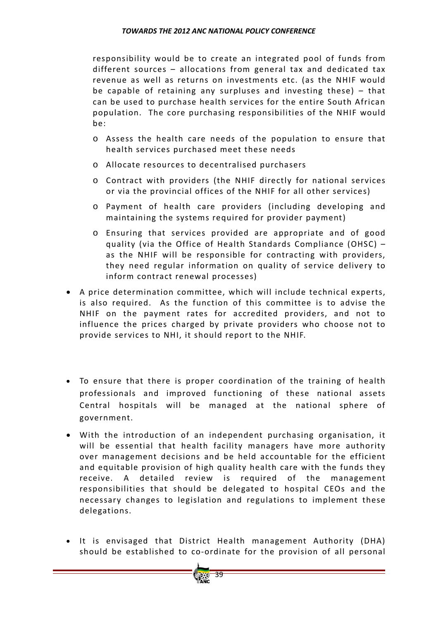responsibility would be to create an integrated pool of funds from different sources – allocations from general tax and dedicated tax revenue as well as returns on investments etc. (as the NHIF would be capable of retaining any surpluses and investing these)  $-$  that can be used to purchase health services for the entire South African population. The core purchasing responsibilities of the NHIF would be:

- $\circ$  Assess the health care needs of the population to ensure that health services purchased meet these needs
- o Allocate resources to decentralised purchasers
- o Contract with providers (the NHIF directly for national services or via the provincial offices of the NHIF for all other services)
- o Payment of health care providers (including developing and maintaining the systems required for provider payment)
- $\circ$  Ensuring that services provided are appropriate and of good quality (via the Office of Health Standards Compliance (OHSC)  $$ as the NHIF will be responsible for contracting with providers, they need regular information on quality of service delivery to inform contract renewal processes)
- A price determination committee, which will include technical experts, is also required. As the function of this committee is to advise the NHIF on the payment rates for accredited providers, and not to influence the prices charged by private providers who choose not to provide services to NHI, it should report to the NHIF.
- To ensure that there is proper coordination of the training of health professionals and improved functioning of these national assets Central hospitals will be managed at the national sphere of government.
- With the introduction of an independent purchasing organisation, it will be essential that health facility managers have more authority over management decisions and be held accountable for the efficient and equitable provision of high quality health care with the funds they receive. A detailed review is required of the management responsibilities that should be delegated to hospital CEOs and the necessary changes to legislation and regulations to implement these delegations.
- It is envisaged that District Health management Authority (DHA) should be established to co-ordinate for the provision of all personal

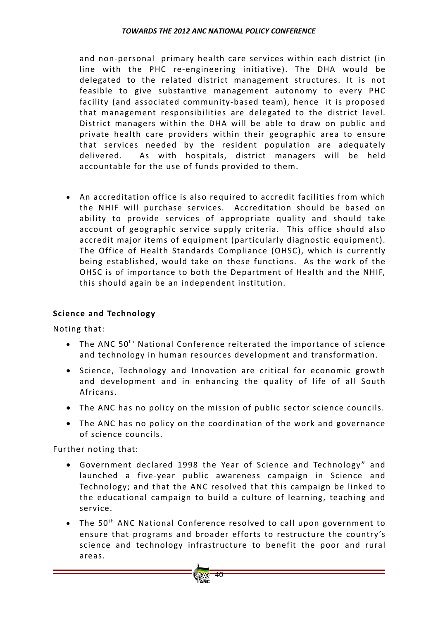and non-personal primary health care services within each district (in line with the PHC re-engineering initiative). The DHA would be delegated to the related district management structures. It is not feasible to give substantive management autonomy to every PHC facility (and associated community-based team), hence it is proposed that management responsibilities are delegated to the district level. District managers within the DHA will be able to draw on public and private health care providers within their geographic area to ensure that services needed by the resident population are adequately delivered. As with hospitals, district managers will be held accountable for the use of funds provided to them.

• An accreditation office is also required to accredit facilities from which the NHIF will purchase services. Accreditation should be based on ability to provide services of appropriate quality and should take account of geographic service supply criteria. This office should also accredit major items of equipment (particularly diagnostic equipment). The Office of Health Standards Compliance (OHSC), which is currently being established, would take on these functions. As the work of the OHSC is of importance to both the Department of Health and the NHIF, this should again be an independent institution.

## **Science and Technology**

Noting that:

- The ANC  $50<sup>th</sup>$  National Conference reiterated the importance of science and technology in human resources development and transformation.
- Science, Technology and Innovation are critical for economic growth and development and in enhancing the quality of life of all South Africans.
- The ANC has no policy on the mission of public sector science councils.
- The ANC has no policy on the coordination of the work and governance of science councils.

Further noting that:

- Government declared 1998 the Year of Science and Technology" and launched a five‐year public awareness campaign in Science and Technology; and that the ANC resolved that this campaign be linked to the educational campaign to build a culture of learning, teaching and service.
- The  $50<sup>th</sup>$  ANC National Conference resolved to call upon government to ensure that programs and broader efforts to restructure the country's science and technology infrastructure to benefit the poor and rural areas.

40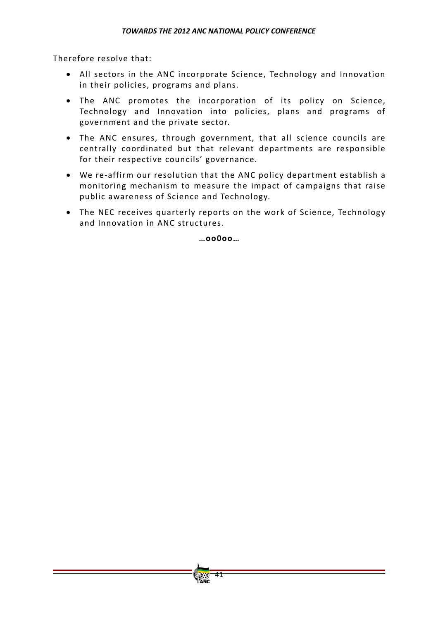Therefore resolve that:

- All sectors in the ANC incorporate Science, Technology and Innovation in their policies, programs and plans.
- The ANC promotes the incorporation of its policy on Science, Technology and Innovation into policies, plans and programs of government and the private sector.
- The ANC ensures, through government, that all science councils are centrally coordinated but that relevant departments are responsible for their respective councils' governance.
- We re‐affirm our resolution that the ANC policy department establish a monitoring mechanism to measure the impact of campaigns that raise public awareness of Science and Technology.
- The NEC receives quarterly reports on the work of Science, Technology and Innovation in ANC structures.

**…oo0oo…**